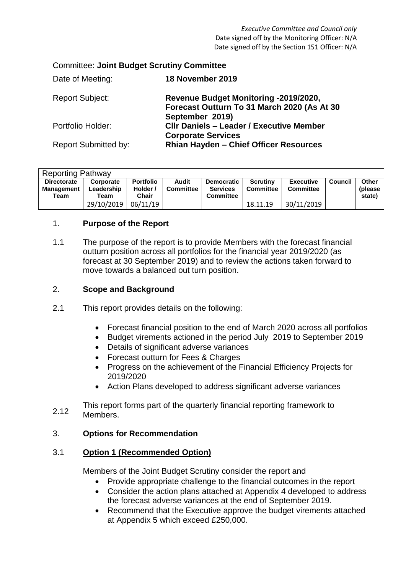| <b>Committee: Joint Budget Scrutiny Committee</b> |                                                                                                         |  |  |  |
|---------------------------------------------------|---------------------------------------------------------------------------------------------------------|--|--|--|
| Date of Meeting:                                  | 18 November 2019                                                                                        |  |  |  |
| <b>Report Subject:</b>                            | Revenue Budget Monitoring -2019/2020,<br>Forecast Outturn To 31 March 2020 (As At 30<br>September 2019) |  |  |  |
| Portfolio Holder:                                 | <b>CIIr Daniels - Leader / Executive Member</b><br><b>Corporate Services</b>                            |  |  |  |
| <b>Report Submitted by:</b>                       | <b>Rhian Hayden - Chief Officer Resources</b>                                                           |  |  |  |

| <b>Reporting Pathway</b>                        |                                 |                                       |                    |                                                   |                              |                                      |                |                                    |
|-------------------------------------------------|---------------------------------|---------------------------------------|--------------------|---------------------------------------------------|------------------------------|--------------------------------------|----------------|------------------------------------|
| <b>Directorate</b><br><b>Management</b><br>Team | Corporate<br>Leadership<br>Team | <b>Portfolio</b><br>Holder /<br>Chair | Audit<br>Committee | Democratic<br><b>Services</b><br><b>Committee</b> | Scrutiny<br><b>Committee</b> | <b>Executive</b><br><b>Committee</b> | <b>Council</b> | <b>Other</b><br>(please)<br>state) |
|                                                 | 29/10/2019                      | 06/11/19                              |                    |                                                   | 18.11.19                     | 30/11/2019                           |                |                                    |

## 1. **Purpose of the Report**

1.1 The purpose of the report is to provide Members with the forecast financial outturn position across all portfolios for the financial year 2019/2020 (as forecast at 30 September 2019) and to review the actions taken forward to move towards a balanced out turn position.

## 2. **Scope and Background**

- 2.1 This report provides details on the following:
	- Forecast financial position to the end of March 2020 across all portfolios
	- Budget virements actioned in the period July 2019 to September 2019
	- Details of significant adverse variances
	- Forecast outturn for Fees & Charges
	- Progress on the achievement of the Financial Efficiency Projects for 2019/2020
	- Action Plans developed to address significant adverse variances
- 2.12 This report forms part of the quarterly financial reporting framework to Members.

## 3. **Options for Recommendation**

## 3.1 **Option 1 (Recommended Option)**

Members of the Joint Budget Scrutiny consider the report and

- Provide appropriate challenge to the financial outcomes in the report
- Consider the action plans attached at Appendix 4 developed to address the forecast adverse variances at the end of September 2019.
- Recommend that the Executive approve the budget virements attached at Appendix 5 which exceed £250,000.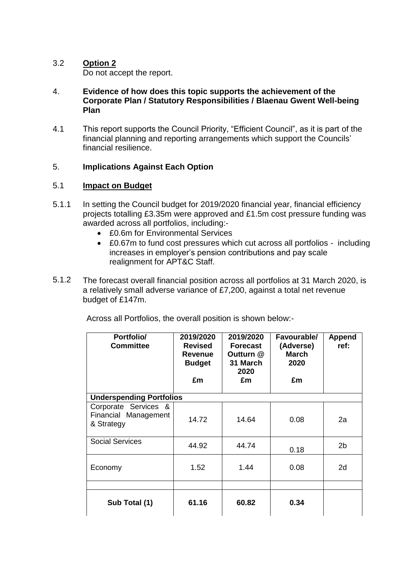## 3.2 **Option 2** Do not accept the report.

- 4. **Evidence of how does this topic supports the achievement of the Corporate Plan / Statutory Responsibilities / Blaenau Gwent Well-being Plan**
- 4.1 This report supports the Council Priority, "Efficient Council", as it is part of the financial planning and reporting arrangements which support the Councils' financial resilience.

# 5. **Implications Against Each Option**

### 5.1 **Impact on Budget**

- 5.1.1 In setting the Council budget for 2019/2020 financial year, financial efficiency projects totalling £3.35m were approved and £1.5m cost pressure funding was awarded across all portfolios, including:-
	- £0.6m for Environmental Services
	- £0.67m to fund cost pressures which cut across all portfolios including increases in employer's pension contributions and pay scale realignment for APT&C Staff.
- 5.1.2 The forecast overall financial position across all portfolios at 31 March 2020, is a relatively small adverse variance of £7,200, against a total net revenue budget of £147m.

| Portfolio/<br><b>Committee</b>                             | 2019/2020<br><b>Revised</b><br><b>Revenue</b><br><b>Budget</b><br>£m | 2019/2020<br><b>Forecast</b><br>Outturn @<br>31 March<br>2020<br>£m | Favourable/<br>(Adverse)<br><b>March</b><br>2020<br>£m | Append<br>ref: |  |  |  |
|------------------------------------------------------------|----------------------------------------------------------------------|---------------------------------------------------------------------|--------------------------------------------------------|----------------|--|--|--|
| <b>Underspending Portfolios</b>                            |                                                                      |                                                                     |                                                        |                |  |  |  |
| Corporate Services &<br>Financial Management<br>& Strategy | 14.72                                                                | 14.64                                                               | 0.08                                                   | 2a             |  |  |  |
| <b>Social Services</b>                                     | 44.92                                                                | 44.74                                                               | 0.18                                                   | 2 <sub>b</sub> |  |  |  |
| Economy                                                    | 1.52                                                                 | 1.44                                                                | 0.08                                                   | 2d             |  |  |  |
|                                                            |                                                                      |                                                                     |                                                        |                |  |  |  |
| Sub Total (1)                                              | 61.16                                                                | 60.82                                                               | 0.34                                                   |                |  |  |  |

Across all Portfolios, the overall position is shown below:-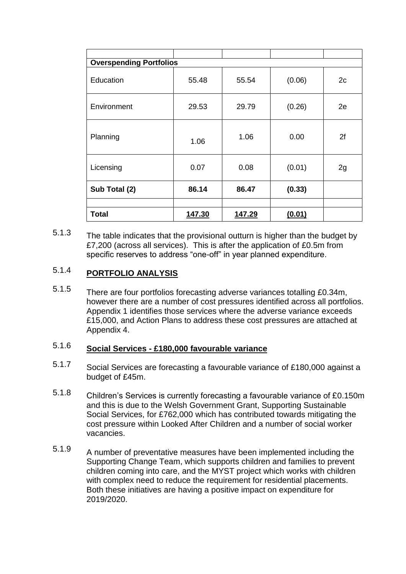| <b>Overspending Portfolios</b> |        |               |        |    |  |  |
|--------------------------------|--------|---------------|--------|----|--|--|
| Education                      | 55.48  | 55.54         | (0.06) | 2c |  |  |
| Environment                    | 29.53  | 29.79         | (0.26) | 2e |  |  |
| Planning                       | 1.06   | 1.06          | 0.00   | 2f |  |  |
| Licensing                      | 0.07   | 0.08          | (0.01) | 2g |  |  |
| Sub Total (2)                  | 86.14  | 86.47         | (0.33) |    |  |  |
|                                |        |               |        |    |  |  |
| <b>Total</b>                   | 147.30 | <u>147.29</u> | (0.01) |    |  |  |

5.1.3 The table indicates that the provisional outturn is higher than the budget by £7,200 (across all services). This is after the application of £0.5m from specific reserves to address "one-off" in year planned expenditure.

## 5.1.4 **PORTFOLIO ANALYSIS**

5.1.5 There are four portfolios forecasting adverse variances totalling £0.34m, however there are a number of cost pressures identified across all portfolios. Appendix 1 identifies those services where the adverse variance exceeds £15,000, and Action Plans to address these cost pressures are attached at Appendix 4.

## 5.1.6 **Social Services - £180,000 favourable variance**

- 5.1.7 Social Services are forecasting a favourable variance of £180,000 against a budget of £45m.
- 5.1.8 Children's Services is currently forecasting a favourable variance of £0.150m and this is due to the Welsh Government Grant, Supporting Sustainable Social Services, for £762,000 which has contributed towards mitigating the cost pressure within Looked After Children and a number of social worker vacancies.
- 5.1.9 A number of preventative measures have been implemented including the Supporting Change Team, which supports children and families to prevent children coming into care, and the MYST project which works with children with complex need to reduce the requirement for residential placements. Both these initiatives are having a positive impact on expenditure for 2019/2020.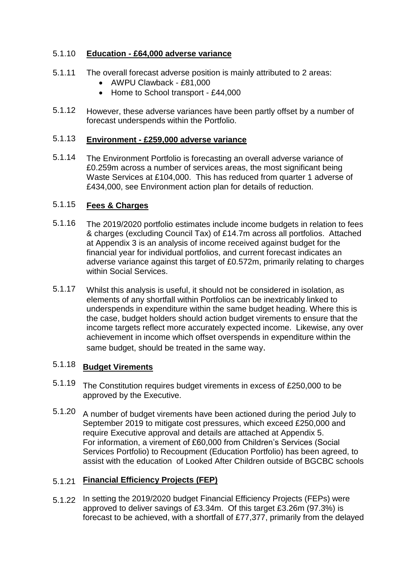### 5.1.10 **Education - £64,000 adverse variance**

- 5.1.11 The overall forecast adverse position is mainly attributed to 2 areas:
	- AWPU Clawback £81,000
	- Home to School transport £44,000
- 5.1.12 However, these adverse variances have been partly offset by a number of forecast underspends within the Portfolio.

### 5.1.13 **Environment - £259,000 adverse variance**

5.1.14 The Environment Portfolio is forecasting an overall adverse variance of £0.259m across a number of services areas, the most significant being Waste Services at £104,000. This has reduced from quarter 1 adverse of £434,000, see Environment action plan for details of reduction.

### 5.1.15 **Fees & Charges**

- 5.1.16 The 2019/2020 portfolio estimates include income budgets in relation to fees & charges (excluding Council Tax) of £14.7m across all portfolios. Attached at Appendix 3 is an analysis of income received against budget for the financial year for individual portfolios, and current forecast indicates an adverse variance against this target of £0.572m, primarily relating to charges within Social Services.
- 5.1.17 Whilst this analysis is useful, it should not be considered in isolation, as elements of any shortfall within Portfolios can be inextricably linked to underspends in expenditure within the same budget heading. Where this is the case, budget holders should action budget virements to ensure that the income targets reflect more accurately expected income. Likewise, any over achievement in income which offset overspends in expenditure within the same budget, should be treated in the same way.

### 5.1.18 **Budget Virements**

- 5.1.19 The Constitution requires budget virements in excess of £250,000 to be approved by the Executive.
- 5.1.20 A number of budget virements have been actioned during the period July to September 2019 to mitigate cost pressures, which exceed £250,000 and require Executive approval and details are attached at Appendix 5. For information, a virement of £60,000 from Children's Services (Social Services Portfolio) to Recoupment (Education Portfolio) has been agreed, to assist with the education of Looked After Children outside of BGCBC schools

# 5.1.21 **Financial Efficiency Projects (FEP)**

5.1.22 In setting the 2019/2020 budget Financial Efficiency Projects (FEPs) were approved to deliver savings of £3.34m. Of this target £3.26m (97.3%) is forecast to be achieved, with a shortfall of £77,377, primarily from the delayed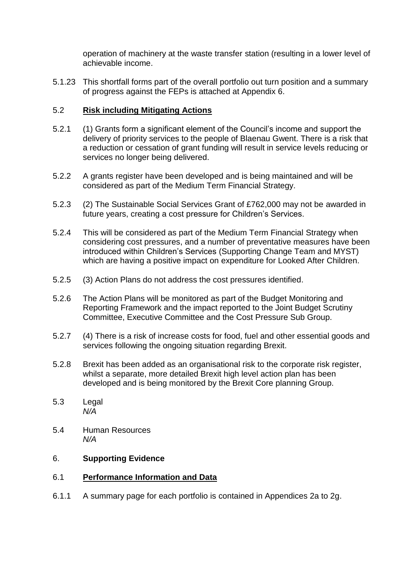operation of machinery at the waste transfer station (resulting in a lower level of achievable income.

5.1.23 This shortfall forms part of the overall portfolio out turn position and a summary of progress against the FEPs is attached at Appendix 6.

## 5.2 **Risk including Mitigating Actions**

- 5.2.1 (1) Grants form a significant element of the Council's income and support the delivery of priority services to the people of Blaenau Gwent. There is a risk that a reduction or cessation of grant funding will result in service levels reducing or services no longer being delivered.
- 5.2.2 A grants register have been developed and is being maintained and will be considered as part of the Medium Term Financial Strategy.
- 5.2.3 (2) The Sustainable Social Services Grant of £762,000 may not be awarded in future years, creating a cost pressure for Children's Services.
- 5.2.4 This will be considered as part of the Medium Term Financial Strategy when considering cost pressures, and a number of preventative measures have been introduced within Children's Services (Supporting Change Team and MYST) which are having a positive impact on expenditure for Looked After Children.
- 5.2.5 (3) Action Plans do not address the cost pressures identified.
- 5.2.6 The Action Plans will be monitored as part of the Budget Monitoring and Reporting Framework and the impact reported to the Joint Budget Scrutiny Committee, Executive Committee and the Cost Pressure Sub Group.
- 5.2.7 (4) There is a risk of increase costs for food, fuel and other essential goods and services following the ongoing situation regarding Brexit.
- 5.2.8 Brexit has been added as an organisational risk to the corporate risk register, whilst a separate, more detailed Brexit high level action plan has been developed and is being monitored by the Brexit Core planning Group.
- 5.3 Legal *N/A*
- 5.4 Human Resources *N/A*

## 6. **Supporting Evidence**

## 6.1 **Performance Information and Data**

6.1.1 A summary page for each portfolio is contained in Appendices 2a to 2g.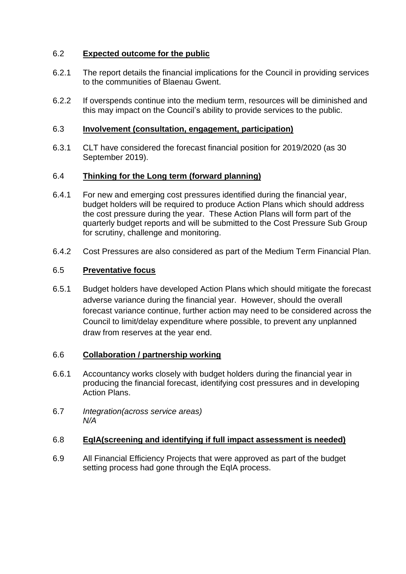# 6.2 **Expected outcome for the public**

- 6.2.1 The report details the financial implications for the Council in providing services to the communities of Blaenau Gwent.
- 6.2.2 If overspends continue into the medium term, resources will be diminished and this may impact on the Council's ability to provide services to the public.

#### 6.3 **Involvement (consultation, engagement, participation)**

6.3.1 CLT have considered the forecast financial position for 2019/2020 (as 30 September 2019).

### 6.4 **Thinking for the Long term (forward planning)**

- 6.4.1 For new and emerging cost pressures identified during the financial year, budget holders will be required to produce Action Plans which should address the cost pressure during the year. These Action Plans will form part of the quarterly budget reports and will be submitted to the Cost Pressure Sub Group for scrutiny, challenge and monitoring.
- 642 Cost Pressures are also considered as part of the Medium Term Financial Plan.

### 6.5 **Preventative focus**

6.5.1 Budget holders have developed Action Plans which should mitigate the forecast adverse variance during the financial year. However, should the overall forecast variance continue, further action may need to be considered across the Council to limit/delay expenditure where possible, to prevent any unplanned draw from reserves at the year end.

### 6.6 **Collaboration / partnership working**

- 6.6.1 Accountancy works closely with budget holders during the financial year in producing the financial forecast, identifying cost pressures and in developing Action Plans.
- 6.7 *Integration(across service areas) N/A*

#### 6.8 **EqIA(screening and identifying if full impact assessment is needed)**

6.9 All Financial Efficiency Projects that were approved as part of the budget setting process had gone through the EqIA process.